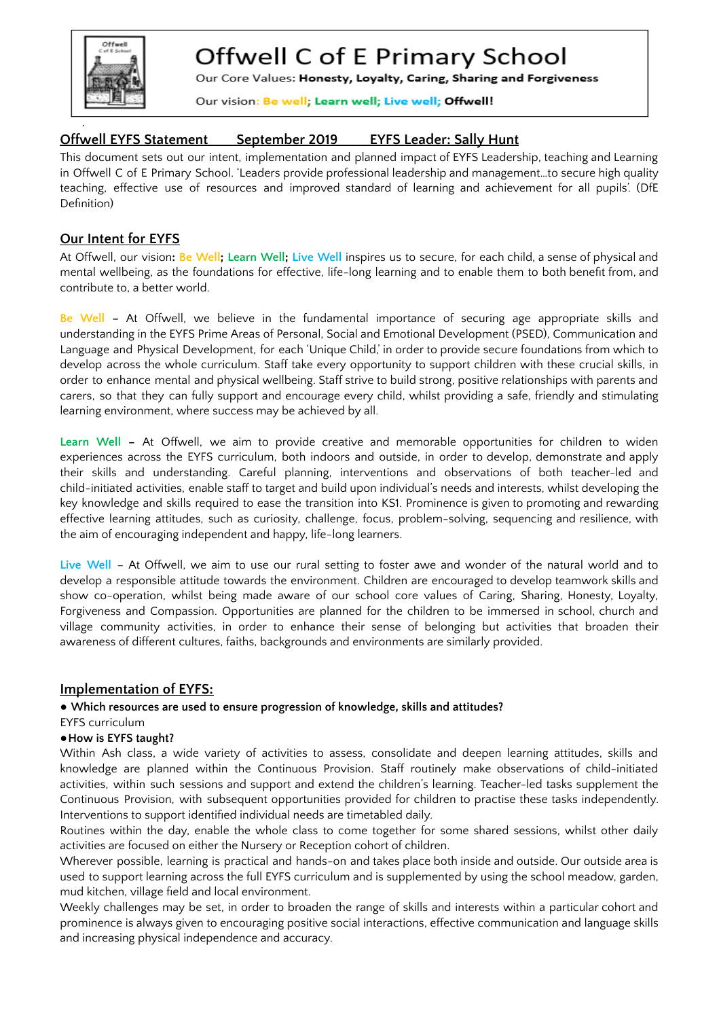

# Offwell C of E Primary School

Our Core Values: Honesty, Loyalty, Caring, Sharing and Forgiveness

Our vision: Be well; Learn well; Live well; Offwell!

# **Offwell EYFS Statement September 2019 EYFS Leader: Sally Hunt**

This document sets out our intent, implementation and planned impact of EYFS Leadership, teaching and Learning in Offwell C of E Primary School. 'Leaders provide professional leadership and management…to secure high quality teaching, effective use of resources and improved standard of learning and achievement for all pupils'. (DfE Definition)

## **Our Intent for EYFS**

At Offwell, our vision**: Be Well; Learn Well; Live Well** inspires us to secure, for each child, a sense of physical and mental wellbeing, as the foundations for effective, life-long learning and to enable them to both benefit from, and contribute to, a better world.

**Be Well –** At Offwell, we believe in the fundamental importance of securing age appropriate skills and understanding in the EYFS Prime Areas of Personal, Social and Emotional Development (PSED), Communication and Language and Physical Development, for each 'Unique Child,' in order to provide secure foundations from which to develop across the whole curriculum. Staff take every opportunity to support children with these crucial skills, in order to enhance mental and physical wellbeing. Staff strive to build strong, positive relationships with parents and carers, so that they can fully support and encourage every child, whilst providing a safe, friendly and stimulating learning environment, where success may be achieved by all.

**Learn Well –** At Offwell, we aim to provide creative and memorable opportunities for children to widen experiences across the EYFS curriculum, both indoors and outside, in order to develop, demonstrate and apply their skills and understanding. Careful planning, interventions and observations of both teacher-led and child-initiated activities, enable staff to target and build upon individual's needs and interests, whilst developing the key knowledge and skills required to ease the transition into KS1. Prominence is given to promoting and rewarding effective learning attitudes, such as curiosity, challenge, focus, problem-solving, sequencing and resilience, with the aim of encouraging independent and happy, life-long learners.

**Live Well** – At Offwell, we aim to use our rural setting to foster awe and wonder of the natural world and to develop a responsible attitude towards the environment. Children are encouraged to develop teamwork skills and show co-operation, whilst being made aware of our school core values of Caring, Sharing, Honesty, Loyalty, Forgiveness and Compassion. Opportunities are planned for the children to be immersed in school, church and village community activities, in order to enhance their sense of belonging but activities that broaden their awareness of different cultures, faiths, backgrounds and environments are similarly provided.

## **Implementation of EYFS:**

## **● Which resources are used to ensure progression of knowledge, skills and attitudes?**

#### EYFS curriculum

#### **●How is EYFS taught?**

Within Ash class, a wide variety of activities to assess, consolidate and deepen learning attitudes, skills and knowledge are planned within the Continuous Provision. Staff routinely make observations of child-initiated activities, within such sessions and support and extend the children's learning. Teacher-led tasks supplement the Continuous Provision, with subsequent opportunities provided for children to practise these tasks independently. Interventions to support identified individual needs are timetabled daily.

Routines within the day, enable the whole class to come together for some shared sessions, whilst other daily activities are focused on either the Nursery or Reception cohort of children.

Wherever possible, learning is practical and hands-on and takes place both inside and outside. Our outside area is used to support learning across the full EYFS curriculum and is supplemented by using the school meadow, garden, mud kitchen, village field and local environment.

Weekly challenges may be set, in order to broaden the range of skills and interests within a particular cohort and prominence is always given to encouraging positive social interactions, effective communication and language skills and increasing physical independence and accuracy.